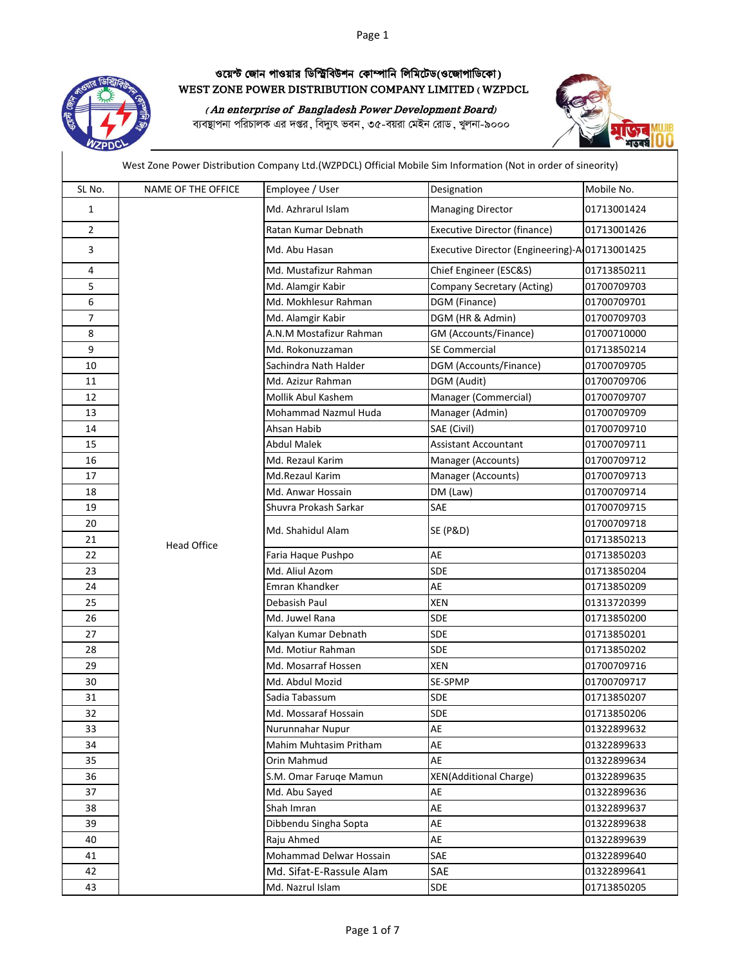## Page 1



## ওয়েস্ট জোন পাওয়ার ডিস্ট্রিবিউশন কোম্পানি লিমিটেড(ওজোপাডিকো) WEST ZONE POWER DISTRIBUTION COMPANY LIMITED ( WZPDCL

( An enterprise of Bangladesh Power Development Board)

ব্যবস্থাপনা পরিচালক এর দপ্তর, বিদ্যুৎ ভবন, ৩৫-বয়রা মেইন রোড, খুলনা-৯০০০



West Zone Power Distribution Company Ltd.(WZPDCL) Official Mobile Sim Information (Not in order of sineority)

| SL No.         | <b>NAME OF THE OFFICE</b> | Employee / User          | Designation                                    | Mobile No.  |
|----------------|---------------------------|--------------------------|------------------------------------------------|-------------|
| 1              |                           | Md. Azhrarul Islam       | <b>Managing Director</b>                       | 01713001424 |
| $\overline{2}$ |                           | Ratan Kumar Debnath      | <b>Executive Director (finance)</b>            | 01713001426 |
| 3              |                           | Md. Abu Hasan            | Executive Director (Engineering)-A 01713001425 |             |
| 4              |                           | Md. Mustafizur Rahman    | Chief Engineer (ESC&S)                         | 01713850211 |
| 5              |                           | Md. Alamgir Kabir        | Company Secretary (Acting)                     | 01700709703 |
| 6              |                           | Md. Mokhlesur Rahman     | DGM (Finance)                                  | 01700709701 |
| $\overline{7}$ |                           | Md. Alamgir Kabir        | DGM (HR & Admin)                               | 01700709703 |
| 8              |                           | A.N.M Mostafizur Rahman  | GM (Accounts/Finance)                          | 01700710000 |
| 9              |                           | Md. Rokonuzzaman         | SE Commercial                                  | 01713850214 |
| 10             |                           | Sachindra Nath Halder    | DGM (Accounts/Finance)                         | 01700709705 |
| 11             |                           | Md. Azizur Rahman        | DGM (Audit)                                    | 01700709706 |
| 12             |                           | Mollik Abul Kashem       | Manager (Commercial)                           | 01700709707 |
| 13             |                           | Mohammad Nazmul Huda     | Manager (Admin)                                | 01700709709 |
| 14             |                           | Ahsan Habib              | SAE (Civil)                                    | 01700709710 |
| 15             |                           | Abdul Malek              | Assistant Accountant                           | 01700709711 |
| 16             |                           | Md. Rezaul Karim         | Manager (Accounts)                             | 01700709712 |
| 17             |                           | Md.Rezaul Karim          | Manager (Accounts)                             | 01700709713 |
| 18             |                           | Md. Anwar Hossain        | DM (Law)                                       | 01700709714 |
| 19             |                           | Shuvra Prokash Sarkar    | SAE                                            | 01700709715 |
| 20             |                           |                          | <b>SE (P&amp;D)</b>                            | 01700709718 |
| 21             | <b>Head Office</b>        | Md. Shahidul Alam        |                                                | 01713850213 |
| 22             |                           | Faria Haque Pushpo       | AE                                             | 01713850203 |
| 23             |                           | Md. Aliul Azom           | <b>SDE</b>                                     | 01713850204 |
| 24             |                           | Emran Khandker           | AE                                             | 01713850209 |
| 25             |                           | Debasish Paul            | <b>XEN</b>                                     | 01313720399 |
| 26             |                           | Md. Juwel Rana           | <b>SDE</b>                                     | 01713850200 |
| 27             |                           | Kalyan Kumar Debnath     | <b>SDE</b>                                     | 01713850201 |
| 28             |                           | Md. Motiur Rahman        | <b>SDE</b>                                     | 01713850202 |
| 29             |                           | Md. Mosarraf Hossen      | <b>XEN</b>                                     | 01700709716 |
| 30             |                           | Md. Abdul Mozid          | SE-SPMP                                        | 01700709717 |
| 31             |                           | Sadia Tabassum           | SDE                                            | 01713850207 |
| 32             |                           | Md. Mossaraf Hossain     | <b>SDE</b>                                     | 01713850206 |
| 33             |                           | Nurunnahar Nupur         | AE                                             | 01322899632 |
| 34             |                           | Mahim Muhtasim Pritham   | AE                                             | 01322899633 |
| 35             |                           | Orin Mahmud              | AE                                             | 01322899634 |
| 36             |                           | S.M. Omar Faruqe Mamun   | <b>XEN(Additional Charge)</b>                  | 01322899635 |
| 37             |                           | Md. Abu Sayed            | AE                                             | 01322899636 |
| 38             |                           | Shah Imran               | AE                                             | 01322899637 |
| 39             |                           | Dibbendu Singha Sopta    | AE                                             | 01322899638 |
| 40             |                           | Raju Ahmed               | AE                                             | 01322899639 |
| 41             |                           | Mohammad Delwar Hossain  | SAE                                            | 01322899640 |
| 42             |                           | Md. Sifat-E-Rassule Alam | SAE                                            | 01322899641 |
| 43             |                           | Md. Nazrul Islam         | SDE                                            | 01713850205 |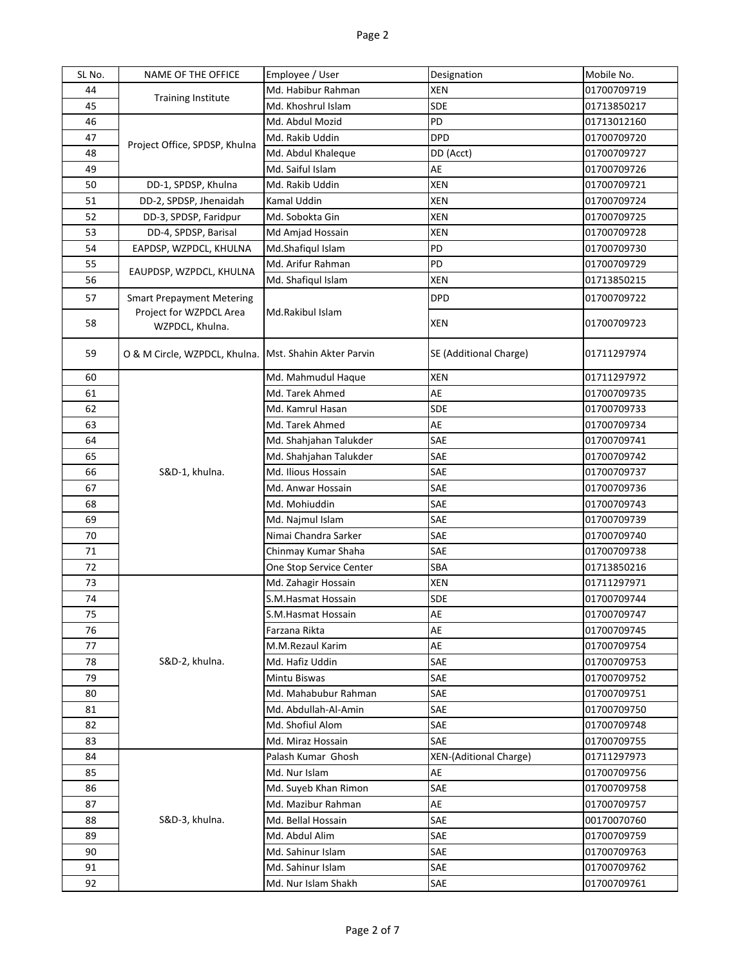| SL No.   | NAME OF THE OFFICE                                     | Employee / User                          | Designation                   | Mobile No.                 |
|----------|--------------------------------------------------------|------------------------------------------|-------------------------------|----------------------------|
| 44       | <b>Training Institute</b>                              | Md. Habibur Rahman                       | XEN                           | 01700709719                |
| 45       |                                                        | Md. Khoshrul Islam                       | SDE                           | 01713850217                |
| 46       | Project Office, SPDSP, Khulna                          | Md. Abdul Mozid                          | PD                            | 01713012160                |
| 47       |                                                        | Md. Rakib Uddin                          | <b>DPD</b>                    | 01700709720                |
| 48       |                                                        | Md. Abdul Khaleque                       | DD (Acct)                     | 01700709727                |
| 49       |                                                        | Md. Saiful Islam                         | AE                            | 01700709726                |
| 50       | DD-1, SPDSP, Khulna                                    | Md. Rakib Uddin                          | XEN                           | 01700709721                |
| 51       | DD-2, SPDSP, Jhenaidah                                 | Kamal Uddin                              | XEN                           | 01700709724                |
| 52       | DD-3, SPDSP, Faridpur                                  | Md. Sobokta Gin                          | <b>XEN</b>                    | 01700709725                |
| 53       | DD-4, SPDSP, Barisal                                   | Md Amjad Hossain                         | <b>XEN</b>                    | 01700709728                |
| 54       | EAPDSP, WZPDCL, KHULNA                                 | Md.Shafiqul Islam                        | PD                            | 01700709730                |
| 55       |                                                        | Md. Arifur Rahman                        | PD                            | 01700709729                |
| 56       | EAUPDSP, WZPDCL, KHULNA                                | Md. Shafiqul Islam                       | <b>XEN</b>                    | 01713850215                |
| 57       | <b>Smart Prepayment Metering</b>                       |                                          | <b>DPD</b>                    | 01700709722                |
| 58       | Project for WZPDCL Area<br>WZPDCL, Khulna.             | Md.Rakibul Islam                         | XEN                           | 01700709723                |
| 59       | O & M Circle, WZPDCL, Khulna. Mst. Shahin Akter Parvin |                                          | SE (Additional Charge)        | 01711297974                |
| 60       |                                                        | Md. Mahmudul Haque                       | <b>XEN</b>                    | 01711297972                |
| 61       |                                                        | Md. Tarek Ahmed                          | AE                            | 01700709735                |
| 62       |                                                        | Md. Kamrul Hasan                         | <b>SDE</b>                    | 01700709733                |
| 63       |                                                        | Md. Tarek Ahmed                          | AE                            | 01700709734                |
| 64       |                                                        | Md. Shahjahan Talukder                   | SAE                           | 01700709741                |
| 65       |                                                        | Md. Shahjahan Talukder                   | SAE                           | 01700709742                |
| 66       | S&D-1, khulna.                                         | Md. Ilious Hossain                       | SAE                           | 01700709737                |
| 67       |                                                        | Md. Anwar Hossain                        | SAE                           | 01700709736                |
| 68       |                                                        | Md. Mohiuddin                            | SAE                           | 01700709743                |
| 69       |                                                        | Md. Najmul Islam                         | SAE                           | 01700709739                |
| 70       |                                                        | Nimai Chandra Sarker                     | SAE                           | 01700709740                |
| 71       |                                                        | Chinmay Kumar Shaha                      | SAE                           | 01700709738                |
| 72       |                                                        | One Stop Service Center                  | SBA                           | 01713850216                |
| 73       |                                                        | Md. Zahagir Hossain                      | <b>XEN</b>                    | 01711297971                |
| 74       |                                                        | S.M.Hasmat Hossain                       | SDE                           | 01700709744                |
| 75       |                                                        | S.M.Hasmat Hossain                       | AE                            | 01700709747                |
| 76       |                                                        | Farzana Rikta                            | AE                            | 01700709745                |
| 77       |                                                        | M.M.Rezaul Karim                         | AE                            | 01700709754                |
| 78       | S&D-2, khulna.                                         | Md. Hafiz Uddin                          | SAE                           | 01700709753                |
| 79       |                                                        | Mintu Biswas                             | SAE                           | 01700709752                |
| 80       |                                                        | Md. Mahabubur Rahman                     | SAE                           | 01700709751                |
| 81       |                                                        | Md. Abdullah-Al-Amin                     | SAE                           | 01700709750                |
| 82       |                                                        | Md. Shofiul Alom                         | SAE                           | 01700709748                |
| 83       |                                                        | Md. Miraz Hossain                        | SAE                           | 01700709755                |
| 84       |                                                        | Palash Kumar Ghosh                       | <b>XEN-(Aditional Charge)</b> | 01711297973                |
| 85       |                                                        | Md. Nur Islam                            | AE                            | 01700709756                |
| 86<br>87 |                                                        | Md. Suyeb Khan Rimon                     | SAE<br>AE                     | 01700709758                |
|          | S&D-3, khulna.                                         | Md. Mazibur Rahman<br>Md. Bellal Hossain | SAE                           | 01700709757                |
| 88<br>89 |                                                        | Md. Abdul Alim                           | SAE                           | 00170070760<br>01700709759 |
| 90       |                                                        | Md. Sahinur Islam                        | SAE                           | 01700709763                |
| 91       |                                                        | Md. Sahinur Islam                        | SAE                           | 01700709762                |
| 92       |                                                        | Md. Nur Islam Shakh                      | SAE                           | 01700709761                |
|          |                                                        |                                          |                               |                            |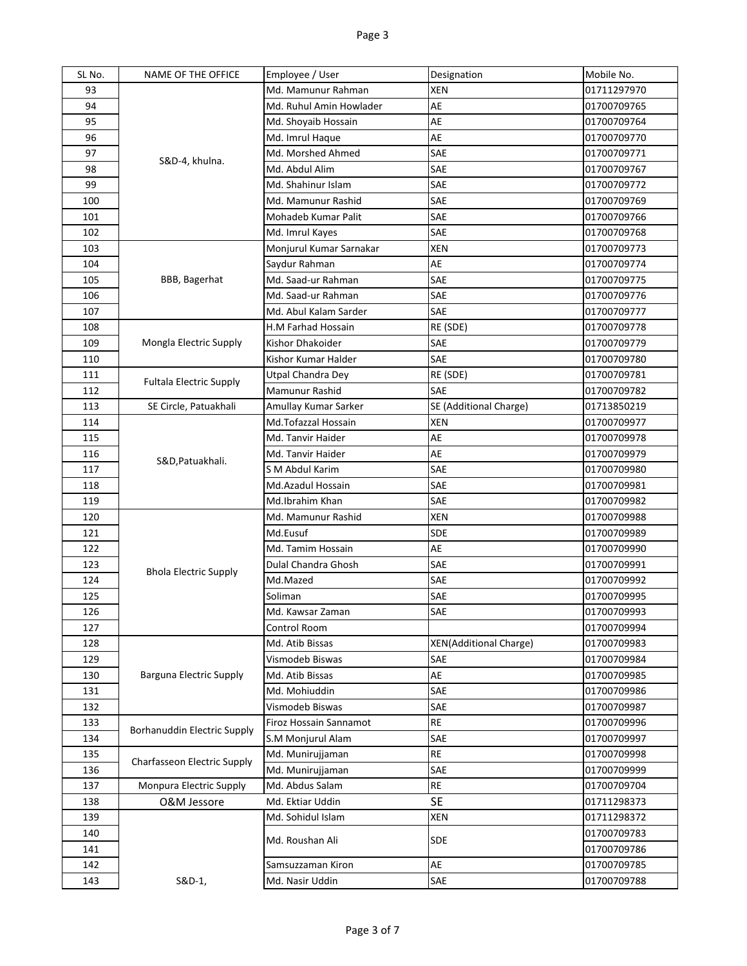| SL No. | NAME OF THE OFFICE             | Employee / User         | Designation                   | Mobile No.  |
|--------|--------------------------------|-------------------------|-------------------------------|-------------|
| 93     |                                | Md. Mamunur Rahman      | <b>XEN</b>                    | 01711297970 |
| 94     |                                | Md. Ruhul Amin Howlader | AE                            | 01700709765 |
| 95     |                                | Md. Shoyaib Hossain     | AE                            | 01700709764 |
| 96     |                                | Md. Imrul Haque         | AE                            | 01700709770 |
| 97     | S&D-4, khulna.                 | Md. Morshed Ahmed       | SAE                           | 01700709771 |
| 98     |                                | Md. Abdul Alim          | SAE                           | 01700709767 |
| 99     |                                | Md. Shahinur Islam      | SAE                           | 01700709772 |
| 100    |                                | Md. Mamunur Rashid      | SAE                           | 01700709769 |
| 101    |                                | Mohadeb Kumar Palit     | SAE                           | 01700709766 |
| 102    |                                | Md. Imrul Kayes         | SAE                           | 01700709768 |
| 103    |                                | Monjurul Kumar Sarnakar | XEN                           | 01700709773 |
| 104    |                                | Saydur Rahman           | AE                            | 01700709774 |
| 105    | BBB, Bagerhat                  | Md. Saad-ur Rahman      | SAE                           | 01700709775 |
| 106    |                                | Md. Saad-ur Rahman      | SAE                           | 01700709776 |
| 107    |                                | Md. Abul Kalam Sarder   | SAE                           | 01700709777 |
| 108    |                                | H.M Farhad Hossain      | RE (SDE)                      | 01700709778 |
| 109    | Mongla Electric Supply         | Kishor Dhakoider        | SAE                           | 01700709779 |
| 110    |                                | Kishor Kumar Halder     | SAE                           | 01700709780 |
| 111    |                                | Utpal Chandra Dey       | RE (SDE)                      | 01700709781 |
| 112    | <b>Fultala Electric Supply</b> | Mamunur Rashid          | <b>SAE</b>                    | 01700709782 |
| 113    | SE Circle, Patuakhali          | Amullay Kumar Sarker    | SE (Additional Charge)        | 01713850219 |
| 114    |                                | Md.Tofazzal Hossain     | XEN                           | 01700709977 |
| 115    |                                | Md. Tanvir Haider       | AE                            | 01700709978 |
| 116    |                                | Md. Tanvir Haider       | AE                            | 01700709979 |
| 117    | S&D, Patuakhali.               | S M Abdul Karim         | SAE                           | 01700709980 |
| 118    |                                | Md.Azadul Hossain       | SAE                           | 01700709981 |
| 119    |                                | Md.Ibrahim Khan         | SAE                           | 01700709982 |
| 120    |                                | Md. Mamunur Rashid      | <b>XEN</b>                    | 01700709988 |
| 121    |                                | Md.Eusuf                | SDE                           | 01700709989 |
| 122    |                                | Md. Tamim Hossain       | AE                            | 01700709990 |
| 123    | <b>Bhola Electric Supply</b>   | Dulal Chandra Ghosh     | SAE                           | 01700709991 |
| 124    |                                | Md.Mazed                | SAE                           | 01700709992 |
| 125    |                                | Soliman                 | SAE                           | 01700709995 |
| 126    |                                | Md. Kawsar Zaman        | SAE                           | 01700709993 |
| 127    |                                | Control Room            |                               | 01700709994 |
| 128    |                                | Md. Atib Bissas         | <b>XEN(Additional Charge)</b> | 01700709983 |
| 129    |                                | Vismodeb Biswas         | SAE                           | 01700709984 |
| 130    | Barguna Electric Supply        | Md. Atib Bissas         | AE                            | 01700709985 |
| 131    |                                | Md. Mohiuddin           | SAE                           | 01700709986 |
| 132    |                                | Vismodeb Biswas         | SAE                           | 01700709987 |
| 133    | Borhanuddin Electric Supply    | Firoz Hossain Sannamot  | <b>RE</b>                     | 01700709996 |
| 134    |                                | S.M Monjurul Alam       | SAE                           | 01700709997 |
| 135    | Charfasseon Electric Supply    | Md. Munirujjaman        | RE                            | 01700709998 |
| 136    |                                | Md. Munirujjaman        | SAE                           | 01700709999 |
| 137    | Monpura Electric Supply        | Md. Abdus Salam         | <b>RE</b>                     | 01700709704 |
| 138    | O&M Jessore                    | Md. Ektiar Uddin        | <b>SE</b>                     | 01711298373 |
| 139    |                                | Md. Sohidul Islam       | <b>XEN</b>                    | 01711298372 |
| 140    |                                | Md. Roushan Ali         | <b>SDE</b>                    | 01700709783 |
| 141    |                                |                         |                               | 01700709786 |
| 142    |                                | Samsuzzaman Kiron       | AE                            | 01700709785 |
| 143    | S&D-1,                         | Md. Nasir Uddin         | SAE                           | 01700709788 |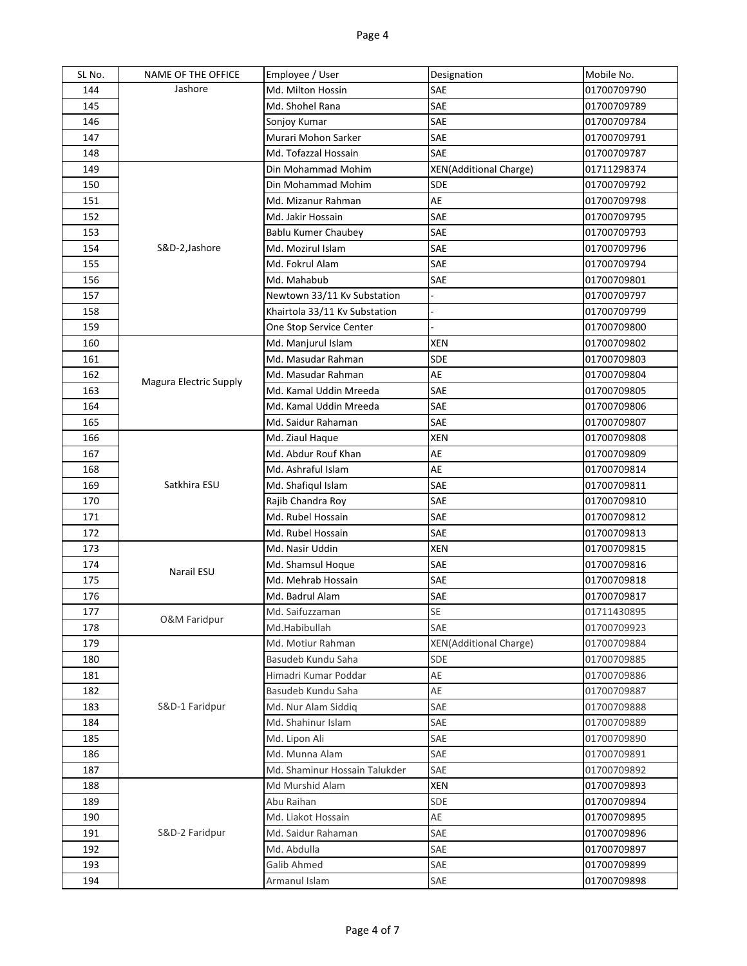| SL No.     | NAME OF THE OFFICE            | Employee / User                           | Designation                   | Mobile No.                 |
|------------|-------------------------------|-------------------------------------------|-------------------------------|----------------------------|
| 144        | Jashore                       | Md. Milton Hossin                         | SAE                           | 01700709790                |
| 145        |                               | Md. Shohel Rana                           | SAE                           | 01700709789                |
| 146        |                               | Sonjoy Kumar                              | SAE                           | 01700709784                |
| 147        |                               | Murari Mohon Sarker                       | SAE                           | 01700709791                |
| 148        |                               | Md. Tofazzal Hossain                      | SAE                           | 01700709787                |
| 149        |                               | Din Mohammad Mohim                        | <b>XEN(Additional Charge)</b> | 01711298374                |
| 150        |                               | Din Mohammad Mohim                        | <b>SDE</b>                    | 01700709792                |
| 151        |                               | Md. Mizanur Rahman                        | AE                            | 01700709798                |
| 152        |                               | Md. Jakir Hossain                         | SAE                           | 01700709795                |
| 153        |                               | Bablu Kumer Chaubey                       | SAE                           | 01700709793                |
| 154        | S&D-2,Jashore                 | Md. Mozirul Islam                         | SAE                           | 01700709796                |
| 155        |                               | Md. Fokrul Alam                           | SAE                           | 01700709794                |
| 156        |                               | Md. Mahabub                               | SAE                           | 01700709801                |
| 157        |                               | Newtown 33/11 Kv Substation               |                               | 01700709797                |
| 158        |                               | Khairtola 33/11 Kv Substation             |                               | 01700709799                |
| 159        |                               | One Stop Service Center                   |                               | 01700709800                |
| 160        |                               | Md. Manjurul Islam                        | XEN                           | 01700709802                |
| 161        |                               | Md. Masudar Rahman                        | <b>SDE</b>                    | 01700709803                |
| 162        | <b>Magura Electric Supply</b> | Md. Masudar Rahman                        | AE                            | 01700709804                |
| 163        |                               | Md. Kamal Uddin Mreeda                    | <b>SAE</b>                    | 01700709805                |
| 164        |                               | Md. Kamal Uddin Mreeda                    | SAE                           | 01700709806                |
| 165        |                               | Md. Saidur Rahaman                        | SAE                           | 01700709807                |
| 166        |                               | Md. Ziaul Haque                           | <b>XEN</b>                    | 01700709808                |
| 167        |                               | Md. Abdur Rouf Khan<br>Md. Ashraful Islam | AE<br>AE                      | 01700709809                |
| 168<br>169 | Satkhira ESU                  | Md. Shafiqul Islam                        | SAE                           | 01700709814<br>01700709811 |
| 170        |                               | Rajib Chandra Roy                         | SAE                           | 01700709810                |
| 171        |                               | Md. Rubel Hossain                         | SAE                           | 01700709812                |
| 172        |                               | Md. Rubel Hossain                         | SAE                           | 01700709813                |
| 173        |                               | Md. Nasir Uddin                           | <b>XEN</b>                    | 01700709815                |
| 174        |                               | Md. Shamsul Hoque                         | SAE                           | 01700709816                |
| 175        | <b>Narail ESU</b>             | Md. Mehrab Hossain                        | SAE                           | 01700709818                |
| 176        |                               | Md. Badrul Alam                           | SAE                           | 01700709817                |
| 177        |                               | Md. Saifuzzaman                           | SE                            | 01711430895                |
| 178        | <b>O&amp;M Faridpur</b>       | Md.Habibullah                             | SAE                           | 01700709923                |
| 179        |                               | Md. Motiur Rahman                         | <b>XEN(Additional Charge)</b> | 01700709884                |
| 180        |                               | Basudeb Kundu Saha                        | SDE                           | 01700709885                |
| 181        |                               | Himadri Kumar Poddar                      | AE                            | 01700709886                |
| 182        |                               | Basudeb Kundu Saha                        | AE                            | 01700709887                |
| 183        | S&D-1 Faridpur                | Md. Nur Alam Siddig                       | SAE                           | 01700709888                |
| 184        |                               | Md. Shahinur Islam                        | SAE                           | 01700709889                |
| 185        |                               | Md. Lipon Ali                             | SAE                           | 01700709890                |
| 186        |                               | Md. Munna Alam                            | SAE                           | 01700709891                |
| 187        |                               | Md. Shaminur Hossain Talukder             | SAE                           | 01700709892                |
| 188        |                               | Md Murshid Alam                           | <b>XEN</b>                    | 01700709893                |
| 189        |                               | Abu Raihan                                | SDE                           | 01700709894                |
| 190        |                               | Md. Liakot Hossain                        | AE                            | 01700709895                |
| 191        | S&D-2 Faridpur                | Md. Saidur Rahaman                        | SAE                           | 01700709896                |
| 192        |                               | Md. Abdulla                               | SAE                           | 01700709897                |
| 193        |                               | Galib Ahmed                               | SAE                           | 01700709899                |
| 194        |                               | Armanul Islam                             | SAE                           | 01700709898                |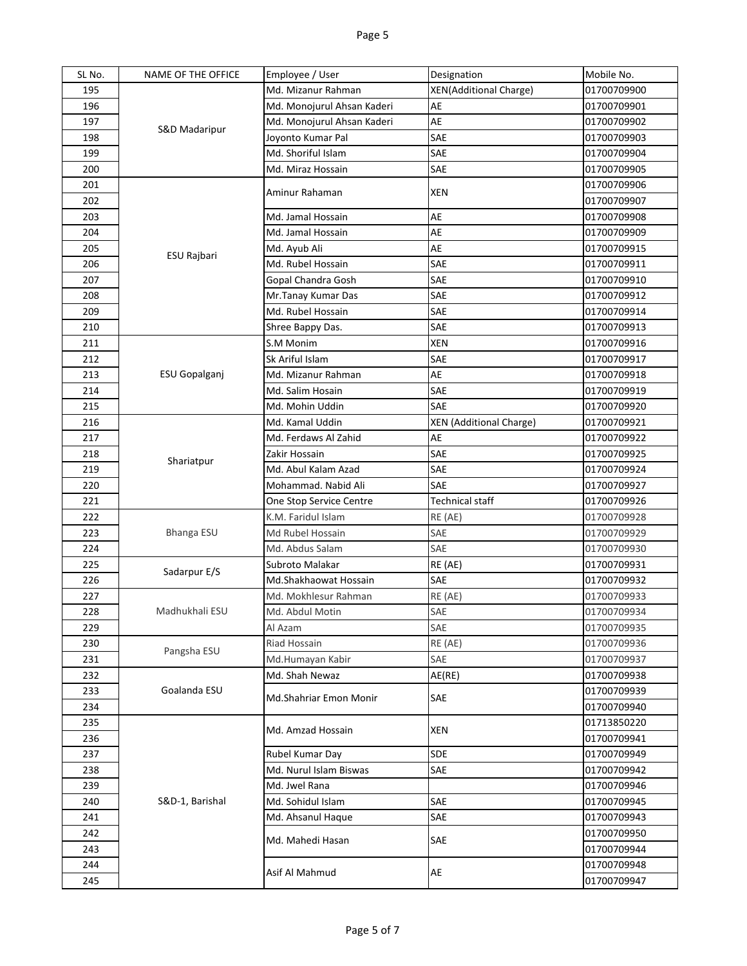| SL No.     | NAME OF THE OFFICE | Employee / User            | Designation                    | Mobile No.                 |
|------------|--------------------|----------------------------|--------------------------------|----------------------------|
| 195        | S&D Madaripur      | Md. Mizanur Rahman         | <b>XEN(Additional Charge)</b>  | 01700709900                |
| 196        |                    | Md. Monojurul Ahsan Kaderi | AE                             | 01700709901                |
| 197        |                    | Md. Monojurul Ahsan Kaderi | AE                             | 01700709902                |
| 198        |                    | Joyonto Kumar Pal          | SAE                            | 01700709903                |
| 199        |                    | Md. Shoriful Islam         | SAE                            | 01700709904                |
| 200        |                    | Md. Miraz Hossain          | SAE                            | 01700709905                |
| 201        |                    | Aminur Rahaman             | XEN                            | 01700709906                |
| 202        |                    |                            |                                | 01700709907                |
| 203        |                    | Md. Jamal Hossain          | AE                             | 01700709908                |
| 204        |                    | Md. Jamal Hossain          | AE                             | 01700709909                |
| 205        | ESU Rajbari        | Md. Ayub Ali               | AE                             | 01700709915                |
| 206        |                    | Md. Rubel Hossain          | SAE                            | 01700709911                |
| 207        |                    | Gopal Chandra Gosh         | SAE                            | 01700709910                |
| 208        |                    | Mr. Tanay Kumar Das        | SAE                            | 01700709912                |
| 209        |                    | Md. Rubel Hossain          | SAE                            | 01700709914                |
| 210        |                    | Shree Bappy Das.           | SAE                            | 01700709913                |
| 211        |                    | S.M Monim                  | <b>XEN</b>                     | 01700709916                |
| 212        |                    | Sk Ariful Islam            | SAE                            | 01700709917                |
| 213        | ESU Gopalganj      | Md. Mizanur Rahman         | AE                             | 01700709918                |
| 214        |                    | Md. Salim Hosain           | SAE                            | 01700709919                |
| 215        |                    | Md. Mohin Uddin            | <b>SAE</b>                     | 01700709920                |
| 216        |                    | Md. Kamal Uddin            | <b>XEN</b> (Additional Charge) | 01700709921                |
| 217        |                    | Md. Ferdaws Al Zahid       | AE                             | 01700709922                |
| 218        | Shariatpur         | Zakir Hossain              | SAE                            | 01700709925                |
| 219        |                    | Md. Abul Kalam Azad        | SAE                            | 01700709924                |
|            |                    |                            |                                |                            |
| 220        |                    | Mohammad. Nabid Ali        | <b>SAE</b>                     | 01700709927                |
| 221        |                    | One Stop Service Centre    | <b>Technical staff</b>         | 01700709926                |
| 222        |                    | K.M. Faridul Islam         | RE (AE)                        | 01700709928                |
| 223        | Bhanga ESU         | Md Rubel Hossain           | SAE                            | 01700709929                |
| 224        |                    | Md. Abdus Salam            | SAE                            | 01700709930                |
| 225        |                    | Subroto Malakar            | RE (AE)                        | 01700709931                |
| 226        | Sadarpur E/S       | Md.Shakhaowat Hossain      | SAE                            | 01700709932                |
| 227        |                    | Md. Mokhlesur Rahman       | RE (AE)                        | 01700709933                |
| 228        | Madhukhali ESU     | Md. Abdul Motin            | SAE                            | 01700709934                |
| 229        |                    | Al Azam                    | SAE                            | 01700709935                |
| 230        | Pangsha ESU        | <b>Riad Hossain</b>        | RE (AE)                        | 01700709936                |
| 231        |                    | Md.Humayan Kabir           | SAE                            | 01700709937                |
| 232        |                    | Md. Shah Newaz             | AE(RE)                         | 01700709938                |
| 233        | Goalanda ESU       | Md.Shahriar Emon Monir     | SAE                            | 01700709939                |
| 234        |                    |                            |                                | 01700709940                |
| 235        |                    | Md. Amzad Hossain          | <b>XEN</b>                     | 01713850220                |
| 236        |                    |                            |                                | 01700709941                |
| 237        |                    | Rubel Kumar Day            | SDE                            | 01700709949                |
| 238        |                    | Md. Nurul Islam Biswas     | SAE                            | 01700709942                |
| 239        |                    | Md. Jwel Rana              |                                | 01700709946                |
| 240        | S&D-1, Barishal    | Md. Sohidul Islam          | SAE                            | 01700709945                |
| 241        |                    | Md. Ahsanul Haque          | SAE                            | 01700709943                |
| 242        |                    | Md. Mahedi Hasan           | <b>SAE</b>                     | 01700709950                |
| 243        |                    |                            |                                | 01700709944                |
| 244<br>245 |                    | Asif Al Mahmud             | AE                             | 01700709948<br>01700709947 |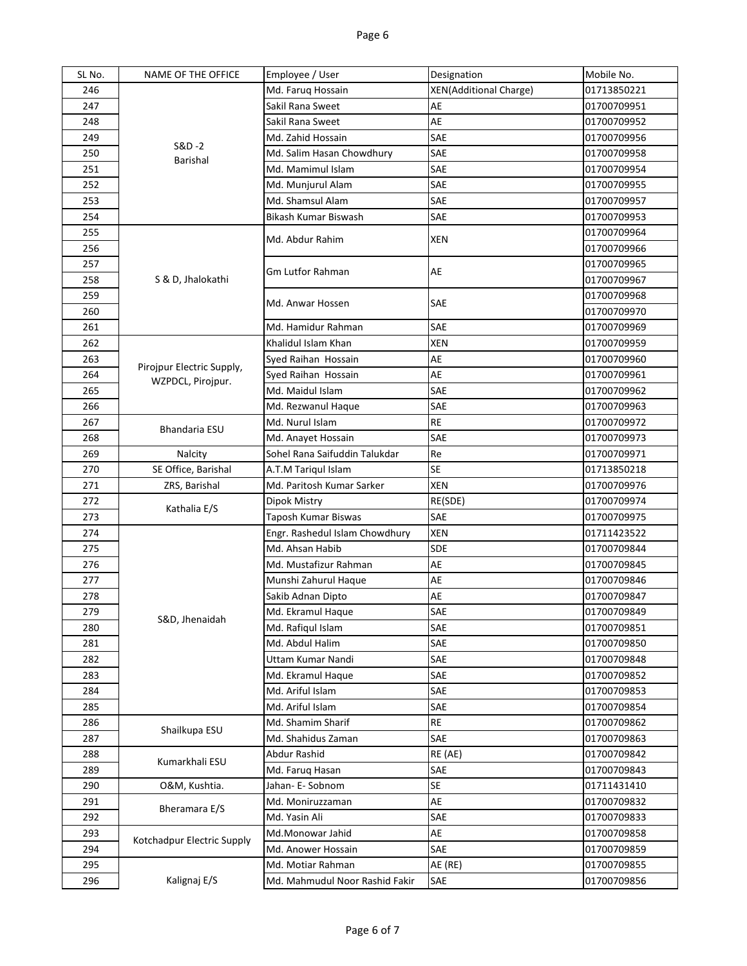| SL No. | NAME OF THE OFFICE         | Employee / User                | Designation                   | Mobile No.  |
|--------|----------------------------|--------------------------------|-------------------------------|-------------|
| 246    |                            | Md. Faruq Hossain              | <b>XEN(Additional Charge)</b> | 01713850221 |
| 247    |                            | Sakil Rana Sweet               | AE                            | 01700709951 |
| 248    |                            | Sakil Rana Sweet               | AE                            | 01700709952 |
| 249    |                            | Md. Zahid Hossain              | SAE                           | 01700709956 |
| 250    | S&D-2<br>Barishal          | Md. Salim Hasan Chowdhury      | SAE                           | 01700709958 |
| 251    |                            | Md. Mamimul Islam              | SAE                           | 01700709954 |
| 252    |                            | Md. Munjurul Alam              | SAE                           | 01700709955 |
| 253    |                            | Md. Shamsul Alam               | SAE                           | 01700709957 |
| 254    |                            | Bikash Kumar Biswash           | SAE                           | 01700709953 |
| 255    |                            |                                |                               | 01700709964 |
| 256    |                            | Md. Abdur Rahim                | XEN                           | 01700709966 |
| 257    |                            | Gm Lutfor Rahman               |                               | 01700709965 |
| 258    | S & D, Jhalokathi          |                                | AE                            | 01700709967 |
| 259    |                            |                                |                               | 01700709968 |
| 260    |                            | Md. Anwar Hossen               | SAE                           | 01700709970 |
| 261    |                            | Md. Hamidur Rahman             | <b>SAE</b>                    | 01700709969 |
| 262    |                            | Khalidul Islam Khan            | <b>XEN</b>                    | 01700709959 |
| 263    |                            | Syed Raihan Hossain            | AE                            | 01700709960 |
| 264    | Pirojpur Electric Supply,  | Syed Raihan Hossain            | AE                            | 01700709961 |
| 265    | WZPDCL, Pirojpur.          | Md. Maidul Islam               | SAE                           | 01700709962 |
| 266    |                            | Md. Rezwanul Haque             | SAE                           | 01700709963 |
| 267    |                            | Md. Nurul Islam                | <b>RE</b>                     | 01700709972 |
| 268    | Bhandaria ESU              | Md. Anayet Hossain             | SAE                           | 01700709973 |
| 269    | Nalcity                    | Sohel Rana Saifuddin Talukdar  | Re                            | 01700709971 |
| 270    | SE Office, Barishal        | A.T.M Tariqul Islam            | <b>SE</b>                     | 01713850218 |
| 271    | ZRS, Barishal              | Md. Paritosh Kumar Sarker      | <b>XEN</b>                    | 01700709976 |
| 272    |                            | Dipok Mistry                   | RE(SDE)                       | 01700709974 |
| 273    | Kathalia E/S               | Taposh Kumar Biswas            | SAE                           | 01700709975 |
| 274    |                            | Engr. Rashedul Islam Chowdhury | XEN                           | 01711423522 |
| 275    |                            | Md. Ahsan Habib                | <b>SDE</b>                    | 01700709844 |
| 276    |                            | Md. Mustafizur Rahman          | AE                            | 01700709845 |
| 277    |                            | Munshi Zahurul Haque           | AE                            | 01700709846 |
| 278    |                            | Sakib Adnan Dipto              | AE                            | 01700709847 |
| 279    |                            | Md. Ekramul Haque              | SAE                           | 01700709849 |
| 280    | S&D, Jhenaidah             | Md. Rafiqul Islam              | SAE                           | 01700709851 |
| 281    |                            | Md. Abdul Halim                | SAE                           | 01700709850 |
| 282    |                            | Uttam Kumar Nandi              | SAE                           | 01700709848 |
| 283    |                            | Md. Ekramul Haque              | SAE                           | 01700709852 |
| 284    |                            | Md. Ariful Islam               | SAE                           | 01700709853 |
| 285    |                            | Md. Ariful Islam               | SAE                           | 01700709854 |
| 286    |                            | Md. Shamim Sharif              | <b>RE</b>                     | 01700709862 |
| 287    | Shailkupa ESU              | Md. Shahidus Zaman             | SAE                           | 01700709863 |
| 288    |                            | Abdur Rashid                   | RE (AE)                       | 01700709842 |
| 289    | Kumarkhali ESU             | Md. Faruq Hasan                | SAE                           | 01700709843 |
| 290    | O&M, Kushtia.              | Jahan- E-Sobnom                | <b>SE</b>                     | 01711431410 |
| 291    |                            | Md. Moniruzzaman               | AE                            | 01700709832 |
| 292    | Bheramara E/S              | Md. Yasin Ali                  | SAE                           | 01700709833 |
| 293    |                            | Md.Monowar Jahid               | AE                            | 01700709858 |
| 294    | Kotchadpur Electric Supply | Md. Anower Hossain             | SAE                           | 01700709859 |
| 295    |                            | Md. Motiar Rahman              | AE (RE)                       | 01700709855 |
| 296    | Kalignaj E/S               | Md. Mahmudul Noor Rashid Fakir | SAE                           | 01700709856 |